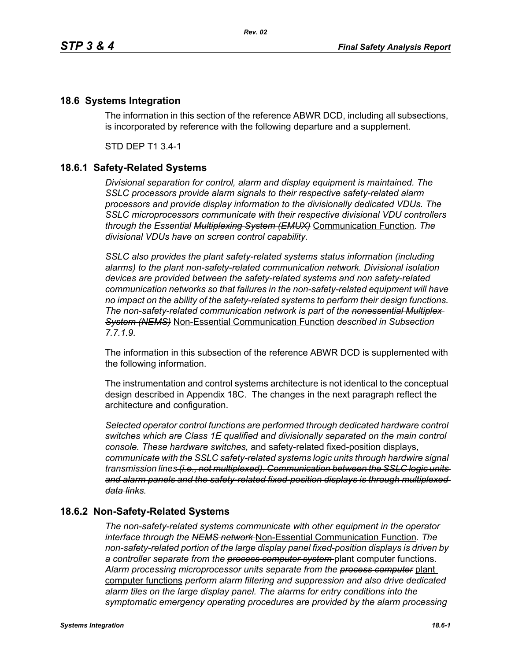## **18.6 Systems Integration**

The information in this section of the reference ABWR DCD, including all subsections, is incorporated by reference with the following departure and a supplement.

STD DEP T1 3.4-1

## **18.6.1 Safety-Related Systems**

*Divisional separation for control, alarm and display equipment is maintained. The SSLC processors provide alarm signals to their respective safety-related alarm processors and provide display information to the divisionally dedicated VDUs. The SSLC microprocessors communicate with their respective divisional VDU controllers through the Essential Multiplexing System (EMUX)* Communication Function. *The divisional VDUs have on screen control capability.*

*SSLC also provides the plant safety-related systems status information (including alarms) to the plant non-safety-related communication network. Divisional isolation devices are provided between the safety-related systems and non safety-related communication networks so that failures in the non-safety-related equipment will have no impact on the ability of the safety-related systems to perform their design functions. The non-safety-related communication network is part of the nonessential Multiplex System (NEMS)* Non-Essential Communication Function *described in Subsection 7.7.1.9.*

The information in this subsection of the reference ABWR DCD is supplemented with the following information.

The instrumentation and control systems architecture is not identical to the conceptual design described in Appendix 18C. The changes in the next paragraph reflect the architecture and configuration.

*Selected operator control functions are performed through dedicated hardware control switches which are Class 1E qualified and divisionally separated on the main control console. These hardware switches,* and safety-related fixed-position displays, *communicate with the SSLC safety-related systems logic units through hardwire signal transmission lines (i.e., not multiplexed). Communication between the SSLC logic units and alarm panels and the safety-related fixed-position displays is through multiplexed data links.*

## **18.6.2 Non-Safety-Related Systems**

*The non-safety-related systems communicate with other equipment in the operator interface through the NEMS network* Non-Essential Communication Function. *The non-safety-related portion of the large display panel fixed-position displays is driven by a controller separate from the process computer system* plant computer functions. *Alarm processing microprocessor units separate from the process computer* plant computer functions *perform alarm filtering and suppression and also drive dedicated alarm tiles on the large display panel. The alarms for entry conditions into the symptomatic emergency operating procedures are provided by the alarm processing*